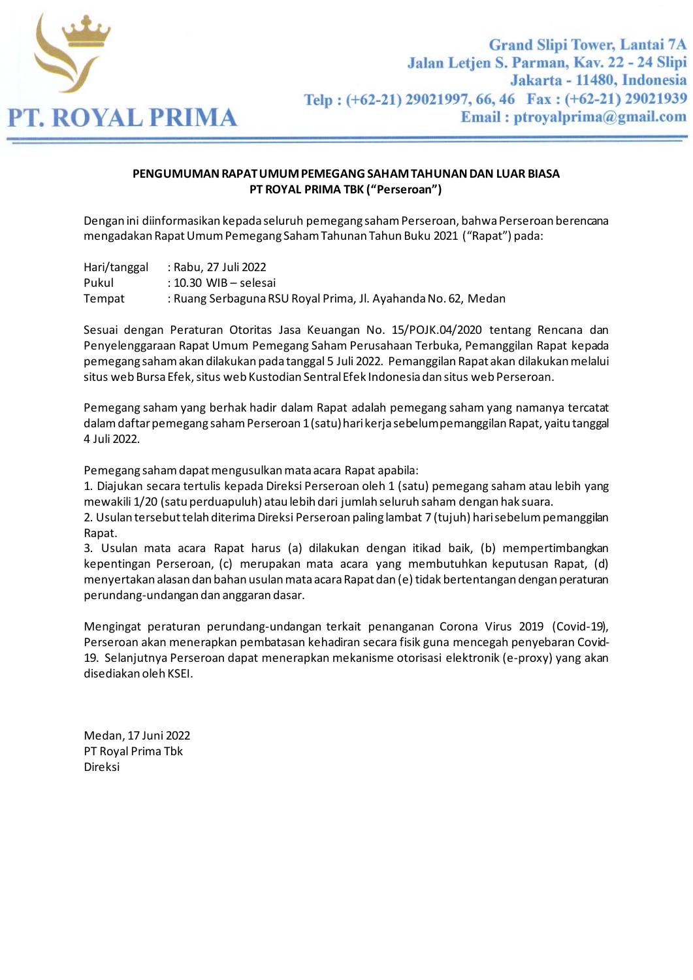

## **PENGUMUMAN RAPAT UMUM PEMEGANG SAHAM TAHUNAN DAN LUAR BIASA PT ROYAL PRIMA TBK ("Perseroan")**

Dengan ini diinformasikan kepada seluruh pemegang saham Perseroan, bahwa Perseroan berencana mengadakan Rapat Umum Pemegang Saham Tahunan Tahun Buku 2021 ("Rapat") pada:

Hari/tanggal : Rabu, 27 Juli 2022 Pukul : 10.30 WIB – selesai Tempat : Ruang Serbaguna RSU Royal Prima, Jl. Ayahanda No. 62, Medan

Sesuai dengan Peraturan Otoritas Jasa Keuangan No. 15/POJK.04/2020 tentang Rencana dan Penyelenggaraan Rapat Umum Pemegang Saham Perusahaan Terbuka, Pemanggilan Rapat kepada pemegang saham akan dilakukan pada tanggal 5 Juli 2022. Pemanggilan Rapat akan dilakukan melalui situs web Bursa Efek, situs web Kustodian Sentral Efek Indonesia dan situs web Perseroan.

Pemegang saham yang berhak hadir dalam Rapat adalah pemegang saham yang namanya tercatat dalam daftar pemegang saham Perseroan 1 (satu) hari kerja sebelum pemanggilan Rapat, yaitu tanggal 4 Juli 2022.

Pemegang saham dapat mengusulkan mata acara Rapat apabila:

1. Diajukan secara tertulis kepada Direksi Perseroan oleh 1 (satu) pemegang saham atau lebih yang mewakili 1/20 (satu perduapuluh) atau lebih dari jumlah seluruh saham dengan hak suara.

2. Usulan tersebut telah diterima Direksi Perseroan paling lambat 7 (tujuh) hari sebelum pemanggilan Rapat.

3. Usulan mata acara Rapat harus (a) dilakukan dengan itikad baik, (b) mempertimbangkan kepentingan Perseroan, (c) merupakan mata acara yang membutuhkan keputusan Rapat, (d) menyertakan alasan dan bahan usulan mata acara Rapat dan (e) tidak bertentangan dengan peraturan perundang-undangan dan anggaran dasar.

Mengingat peraturan perundang-undangan terkait penanganan Corona Virus 2019 (Covid-19), Perseroan akan menerapkan pembatasan kehadiran secara fisik guna mencegah penyebaran Covid-19. Selanjutnya Perseroan dapat menerapkan mekanisme otorisasi elektronik (e-proxy) yang akan disediakan oleh KSEI.

Medan, 17 Juni 2022 PT Royal Prima Tbk Direksi